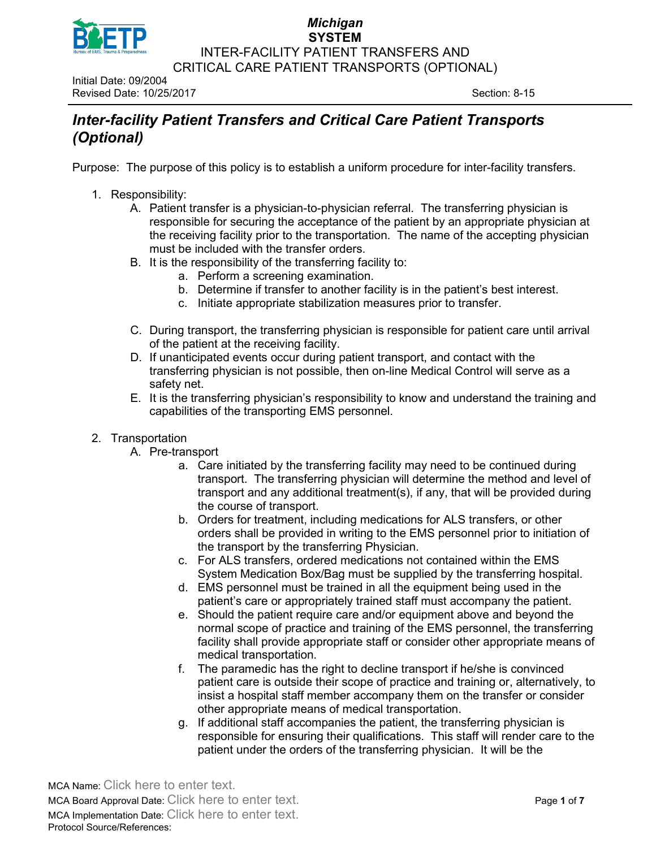

Initial Date: 09/2004 Revised Date: 10/25/2017 Section: 8-15

# *Inter-facility Patient Transfers and Critical Care Patient Transports (Optional)*

Purpose:The purpose of this policy is to establish a uniform procedure for inter-facility transfers.

- 1. Responsibility:
	- A. Patient transfer is a physician-to-physician referral. The transferring physician is responsible for securing the acceptance of the patient by an appropriate physician at the receiving facility prior to the transportation. The name of the accepting physician must be included with the transfer orders.
	- B. It is the responsibility of the transferring facility to:
		- a. Perform a screening examination.
			- b. Determine if transfer to another facility is in the patient's best interest.
			- c. Initiate appropriate stabilization measures prior to transfer.
	- C. During transport, the transferring physician is responsible for patient care until arrival of the patient at the receiving facility.
	- D. If unanticipated events occur during patient transport, and contact with the transferring physician is not possible, then on-line Medical Control will serve as a safety net.
	- E. It is the transferring physician's responsibility to know and understand the training and capabilities of the transporting EMS personnel.
- 2. Transportation
	- A. Pre-transport
		- a. Care initiated by the transferring facility may need to be continued during transport. The transferring physician will determine the method and level of transport and any additional treatment(s), if any, that will be provided during the course of transport.
		- b. Orders for treatment, including medications for ALS transfers, or other orders shall be provided in writing to the EMS personnel prior to initiation of the transport by the transferring Physician.
		- c. For ALS transfers, ordered medications not contained within the EMS System Medication Box/Bag must be supplied by the transferring hospital.
		- d. EMS personnel must be trained in all the equipment being used in the patient's care or appropriately trained staff must accompany the patient.
		- e. Should the patient require care and/or equipment above and beyond the normal scope of practice and training of the EMS personnel, the transferring facility shall provide appropriate staff or consider other appropriate means of medical transportation.
		- f. The paramedic has the right to decline transport if he/she is convinced patient care is outside their scope of practice and training or, alternatively, to insist a hospital staff member accompany them on the transfer or consider other appropriate means of medical transportation.
		- g. If additional staff accompanies the patient, the transferring physician is responsible for ensuring their qualifications. This staff will render care to the patient under the orders of the transferring physician. It will be the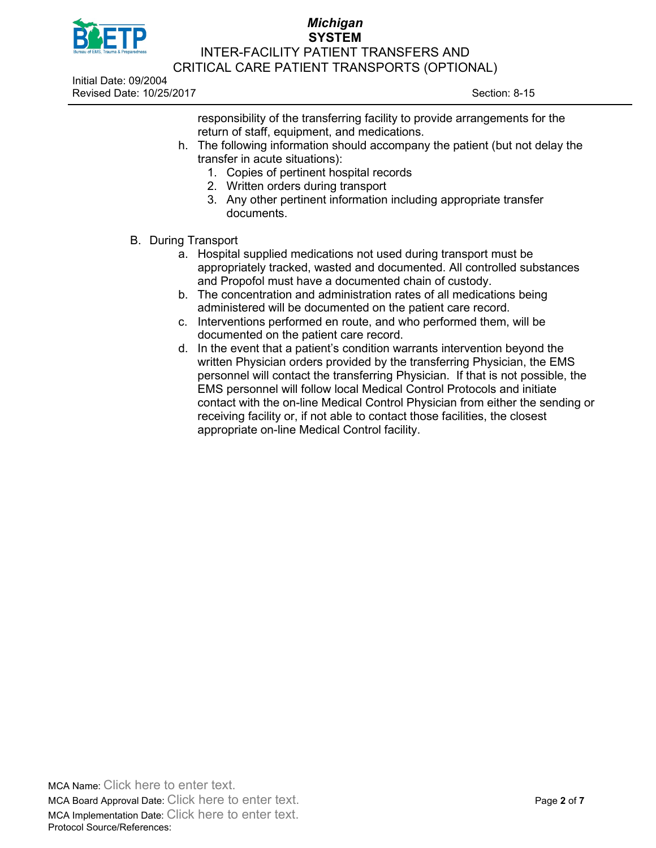

Initial Date: 09/2004 Revised Date: 10/25/2017 Section: 8-15

responsibility of the transferring facility to provide arrangements for the return of staff, equipment, and medications.

- h. The following information should accompany the patient (but not delay the transfer in acute situations):
	- 1. Copies of pertinent hospital records
	- 2. Written orders during transport
	- 3. Any other pertinent information including appropriate transfer documents.
- B. During Transport
	- a. Hospital supplied medications not used during transport must be appropriately tracked, wasted and documented. All controlled substances and Propofol must have a documented chain of custody.
	- b. The concentration and administration rates of all medications being administered will be documented on the patient care record.
	- c. Interventions performed en route, and who performed them, will be documented on the patient care record.
	- d. In the event that a patient's condition warrants intervention beyond the written Physician orders provided by the transferring Physician, the EMS personnel will contact the transferring Physician. If that is not possible, the EMS personnel will follow local Medical Control Protocols and initiate contact with the on-line Medical Control Physician from either the sending or receiving facility or, if not able to contact those facilities, the closest appropriate on-line Medical Control facility.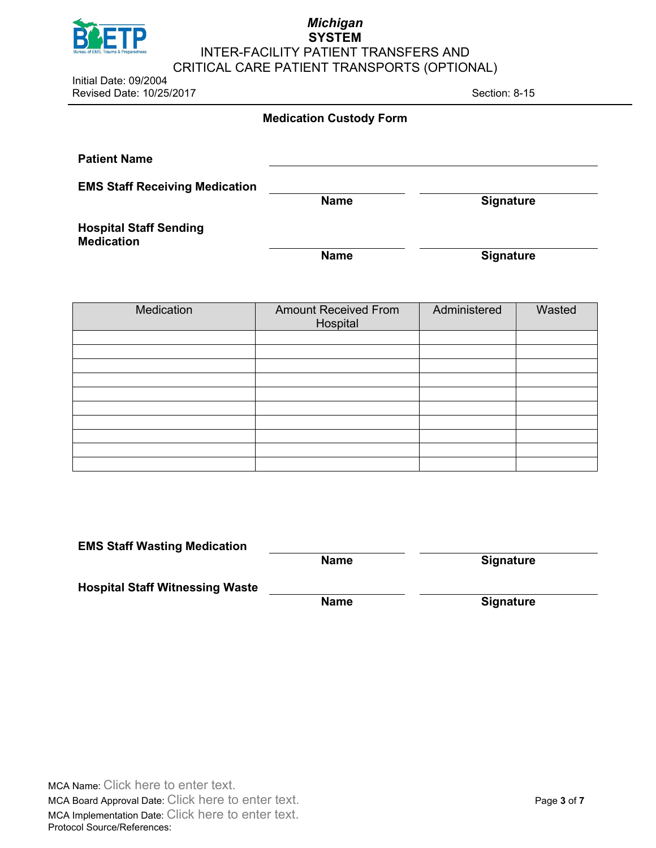

Initial Date: 09/2004 Revised Date: 10/25/2017 Section: 8-15

| <b>Medication Custody Form</b> |  |  |
|--------------------------------|--|--|
|--------------------------------|--|--|

| <b>Patient Name</b>                                |             |                  |
|----------------------------------------------------|-------------|------------------|
| <b>EMS Staff Receiving Medication</b>              | <b>Name</b> | <b>Signature</b> |
| <b>Hospital Staff Sending</b><br><b>Medication</b> |             |                  |
|                                                    | <b>Name</b> | <b>Signature</b> |

| Medication | <b>Amount Received From</b><br>Hospital | Administered | Wasted |
|------------|-----------------------------------------|--------------|--------|
|            |                                         |              |        |
|            |                                         |              |        |
|            |                                         |              |        |
|            |                                         |              |        |
|            |                                         |              |        |
|            |                                         |              |        |
|            |                                         |              |        |
|            |                                         |              |        |
|            |                                         |              |        |
|            |                                         |              |        |

| <b>EMS Staff Wasting Medication</b>    |             |                  |
|----------------------------------------|-------------|------------------|
|                                        | <b>Name</b> | <b>Signature</b> |
| <b>Hospital Staff Witnessing Waste</b> |             |                  |
|                                        | <b>Name</b> | <b>Signature</b> |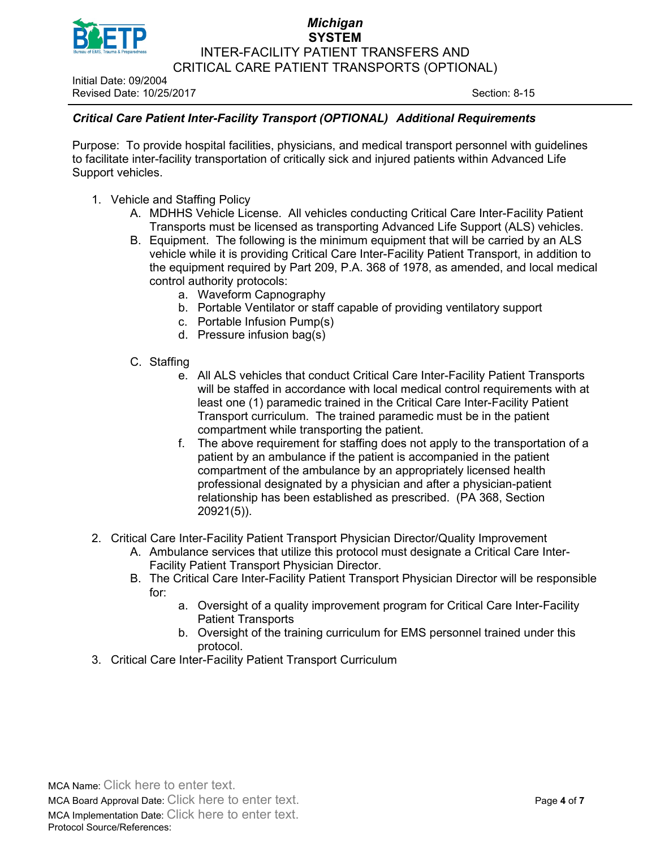

Initial Date: 09/2004 Revised Date: 10/25/2017 Section: 8-15

## *Critical Care Patient Inter-Facility Transport (OPTIONAL) Additional Requirements*

Purpose: To provide hospital facilities, physicians, and medical transport personnel with guidelines to facilitate inter-facility transportation of critically sick and injured patients within Advanced Life Support vehicles.

- 1. Vehicle and Staffing Policy
	- A. MDHHS Vehicle License. All vehicles conducting Critical Care Inter-Facility Patient Transports must be licensed as transporting Advanced Life Support (ALS) vehicles.
	- B. Equipment. The following is the minimum equipment that will be carried by an ALS vehicle while it is providing Critical Care Inter-Facility Patient Transport, in addition to the equipment required by Part 209, P.A. 368 of 1978, as amended, and local medical control authority protocols:
		- a. Waveform Capnography
		- b. Portable Ventilator or staff capable of providing ventilatory support
		- c. Portable Infusion Pump(s)
		- d. Pressure infusion bag(s)
	- C. Staffing
		- e. All ALS vehicles that conduct Critical Care Inter-Facility Patient Transports will be staffed in accordance with local medical control requirements with at least one (1) paramedic trained in the Critical Care Inter-Facility Patient Transport curriculum. The trained paramedic must be in the patient compartment while transporting the patient.
		- f. The above requirement for staffing does not apply to the transportation of a patient by an ambulance if the patient is accompanied in the patient compartment of the ambulance by an appropriately licensed health professional designated by a physician and after a physician-patient relationship has been established as prescribed. (PA 368, Section 20921(5)).
- 2. Critical Care Inter-Facility Patient Transport Physician Director/Quality Improvement
	- A. Ambulance services that utilize this protocol must designate a Critical Care Inter-Facility Patient Transport Physician Director.
	- B. The Critical Care Inter-Facility Patient Transport Physician Director will be responsible for:
		- a. Oversight of a quality improvement program for Critical Care Inter-Facility Patient Transports
		- b. Oversight of the training curriculum for EMS personnel trained under this protocol.
- 3. Critical Care Inter-Facility Patient Transport Curriculum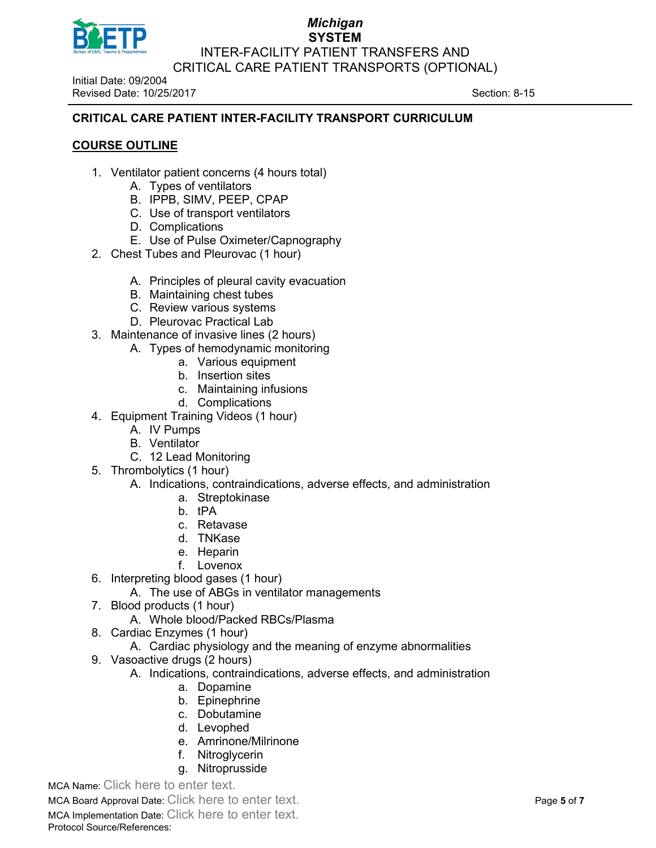

Initial Date: 09/2004 Revised Date: 10/25/2017 Section: 8-15

## **CRITICAL CARE PATIENT INTER-FACILITY TRANSPORT CURRICULUM**

## **COURSE OUTLINE**

- 1. Ventilator patient concerns (4 hours total)
	- A. Types of ventilators
	- B. IPPB, SIMV, PEEP, CPAP
	- C. Use of transport ventilators
	- D. Complications
	- E. Use of Pulse Oximeter/Capnography
- 2. Chest Tubes and Pleurovac (1 hour)
	- A. Principles of pleural cavity evacuation
	- B. Maintaining chest tubes
	- C. Review various systems
	- D. Pleurovac Practical Lab
- 3. Maintenance of invasive lines (2 hours)
	- A. Types of hemodynamic monitoring
		- a. Various equipment
		- b. Insertion sites
		- c. Maintaining infusions
		- d. Complications
- 4. Equipment Training Videos (1 hour)
	- A. IV Pumps
	- B. Ventilator
	- C. 12 Lead Monitoring
- 5. Thrombolytics (1 hour)

#### A. Indications, contraindications, adverse effects, and administration

- a. Streptokinase
- b. tPA
- c. Retavase
- d. TNKase
- e. Heparin
- f. Lovenox
- 6. Interpreting blood gases (1 hour)
	- A. The use of ABGs in ventilator managements
- 7. Blood products (1 hour)
	- A. Whole blood/Packed RBCs/Plasma
- 8. Cardiac Enzymes (1 hour)
	- A. Cardiac physiology and the meaning of enzyme abnormalities
- 9. Vasoactive drugs (2 hours)
	- A. Indications, contraindications, adverse effects, and administration
		- a. Dopamine
		- b. Epinephrine
		- c. Dobutamine
		- d. Levophed
		- e. Amrinone/Milrinone
		- f. Nitroglycerin
		- g. Nitroprusside

MCA Name: Click here to enter text.

MCA Board Approval Date: Click here to enter text. Page **5** of **7**

MCA Implementation Date: Click here to enter text. Protocol Source/References: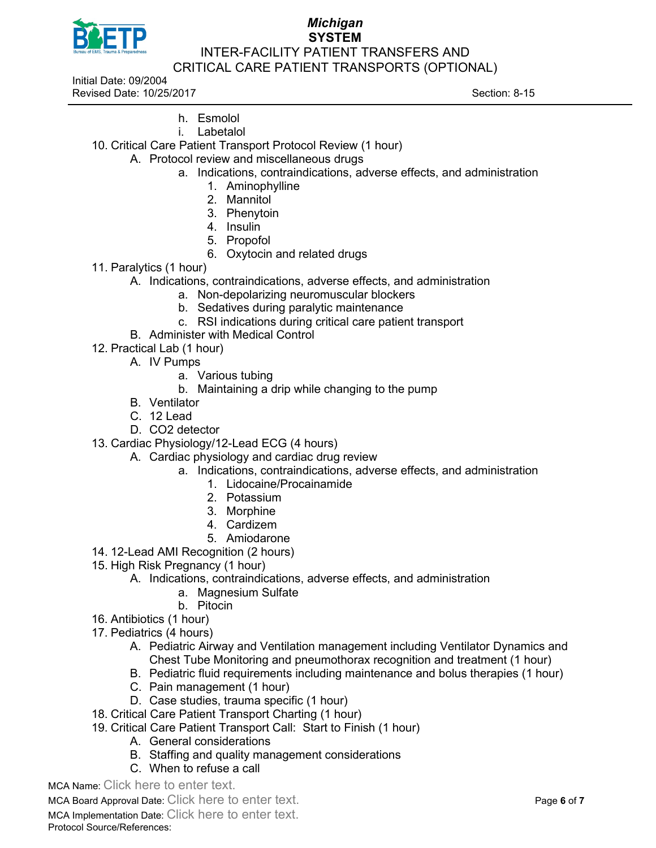

Initial Date: 09/2004 Revised Date: 10/25/2017 Section: 8-15

- h. Esmolol
- i. Labetalol
- 10. Critical Care Patient Transport Protocol Review (1 hour)
	- A. Protocol review and miscellaneous drugs
		- a. Indications, contraindications, adverse effects, and administration
			- 1. Aminophylline
			- 2. Mannitol
			- 3. Phenytoin
			- 4. Insulin
			- 5. Propofol
			- 6. Oxytocin and related drugs
- 11. Paralytics (1 hour)
	- A. Indications, contraindications, adverse effects, and administration
		- a. Non-depolarizing neuromuscular blockers
		- b. Sedatives during paralytic maintenance
		- c. RSI indications during critical care patient transport
	- B. Administer with Medical Control
- 12. Practical Lab (1 hour)
	- A. IV Pumps
		- a. Various tubing
		- b. Maintaining a drip while changing to the pump
	- B. Ventilator
	- $C. 12$  Lead
	- D. CO2 detector
- 13. Cardiac Physiology/12-Lead ECG (4 hours)
	- A. Cardiac physiology and cardiac drug review
		- a. Indications, contraindications, adverse effects, and administration
			- 1. Lidocaine/Procainamide
			- 2. Potassium
			- 3. Morphine
			- 4. Cardizem
			- 5. Amiodarone
- 14. 12-Lead AMI Recognition (2 hours)
- 15. High Risk Pregnancy (1 hour)
	- A. Indications, contraindications, adverse effects, and administration
		- a. Magnesium Sulfate
		- b. Pitocin
- 16. Antibiotics (1 hour)
- 17. Pediatrics (4 hours)
	- A. Pediatric Airway and Ventilation management including Ventilator Dynamics and Chest Tube Monitoring and pneumothorax recognition and treatment (1 hour)
	- B. Pediatric fluid requirements including maintenance and bolus therapies (1 hour)
	- C. Pain management (1 hour)
	- D. Case studies, trauma specific (1 hour)
- 18. Critical Care Patient Transport Charting (1 hour)
- 19. Critical Care Patient Transport Call: Start to Finish (1 hour)
	- A. General considerations
	- B. Staffing and quality management considerations
	- C. When to refuse a call

MCA Name: Click here to enter text.

MCA Board Approval Date: Click here to enter text. Page **6** of **7**

MCA Implementation Date: Click here to enter text.